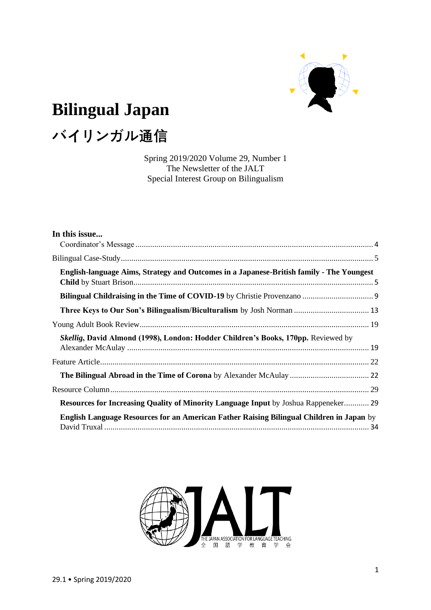

# **Bilingual Japan**

# **バイリンガル通信**

Spring 2019/2020 Volume 29, Number 1 The Newsletter of the JALT Special Interest Group on Bilingualism

| In this issue                                                                              |  |
|--------------------------------------------------------------------------------------------|--|
|                                                                                            |  |
| English-language Aims, Strategy and Outcomes in a Japanese-British family - The Youngest   |  |
|                                                                                            |  |
| Three Keys to Our Son's Bilingualism/Biculturalism by Josh Norman  13                      |  |
|                                                                                            |  |
| Skellig, David Almond (1998), London: Hodder Children's Books, 170pp. Reviewed by          |  |
|                                                                                            |  |
|                                                                                            |  |
|                                                                                            |  |
| <b>Resources for Increasing Quality of Minority Language Input</b> by Joshua Rappeneker 29 |  |
| English Language Resources for an American Father Raising Bilingual Children in Japan by   |  |

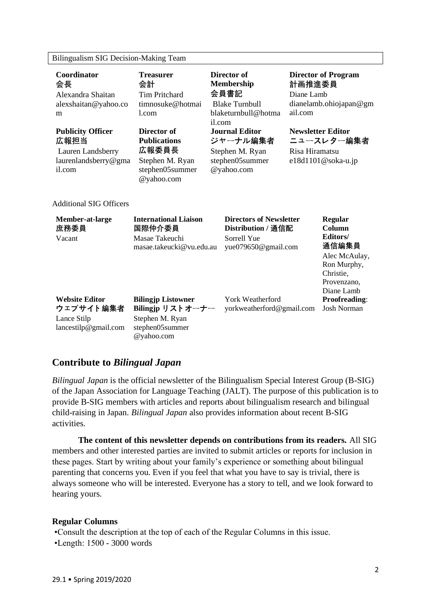## Bilingualism SIG Decision-Making Team

| Coordinator<br>会長<br>Alexandra Shaitan<br>alexshaitan@yahoo.co<br>m                     | <b>Treasurer</b><br>会計<br><b>Tim Pritchard</b><br>timnosuke@hotmai<br>1.com                       | Director of<br><b>Membership</b><br>会員書記<br><b>Blake Turnbull</b><br>blaketurnbull@hotma<br>il.com | 計画推進委員<br>Diane Lamb<br>ail.com            | <b>Director of Program</b><br>dianelamb.ohiojapan@gm                                                             |
|-----------------------------------------------------------------------------------------|---------------------------------------------------------------------------------------------------|----------------------------------------------------------------------------------------------------|--------------------------------------------|------------------------------------------------------------------------------------------------------------------|
| <b>Publicity Officer</b><br>広報担当<br>Lauren Landsberry<br>laurenlandsberry@gma<br>il.com | Director of<br><b>Publications</b><br>広報委員長<br>Stephen M. Ryan<br>stephen05summer<br>@yahoo.com   | <b>Journal Editor</b><br>ジャーナル編集者<br>Stephen M. Ryan<br>stephen05summer<br>@yahoo.com              | <b>Newsletter Editor</b><br>Risa Hiramatsu | ニュースレター編集者<br>e18d1101@soka-u.jp                                                                                 |
| <b>Additional SIG Officers</b>                                                          |                                                                                                   |                                                                                                    |                                            |                                                                                                                  |
| Member-at-large<br>庶務委員<br>Vacant                                                       | <b>International Liaison</b><br>国際仲介委員<br>Masae Takeuchi<br>masae.takeucki@vu.edu.au              | <b>Directors of Newsletter</b><br>Distribution / 通信配<br>Sorrell Yue<br>yue079650@gmail.com         |                                            | Regular<br>Column<br>Editors/<br>通信編集員<br>Alec McAulay,<br>Ron Murphy,<br>Christie,<br>Provenzano,<br>Diane Lamb |
| <b>Website Editor</b><br>ウェブサイト編集者<br>Lance Stilp<br>lancestilp@gmail.com               | <b>Bilingjp Listowner</b><br>Bilingjp リストオーナー<br>Stephen M. Ryan<br>stephen05summer<br>@yahoo.com | <b>York Weatherford</b><br>yorkweatherford@gmail.com                                               |                                            | <b>Proofreading:</b><br><b>Josh Norman</b>                                                                       |

# **Contribute to** *Bilingual Japan*

*Bilingual Japan* is the official newsletter of the Bilingualism Special Interest Group (B-SIG) of the Japan Association for Language Teaching (JALT). The purpose of this publication is to provide B-SIG members with articles and reports about bilingualism research and bilingual child-raising in Japan. *Bilingual Japan* also provides information about recent B-SIG activities.

**The content of this newsletter depends on contributions from its readers.** All SIG members and other interested parties are invited to submit articles or reports for inclusion in these pages. Start by writing about your family's experience or something about bilingual parenting that concerns you. Even if you feel that what you have to say is trivial, there is always someone who will be interested. Everyone has a story to tell, and we look forward to hearing yours.

## **Regular Columns**

•Consult the description at the top of each of the Regular Columns in this issue. •Length: 1500 - 3000 words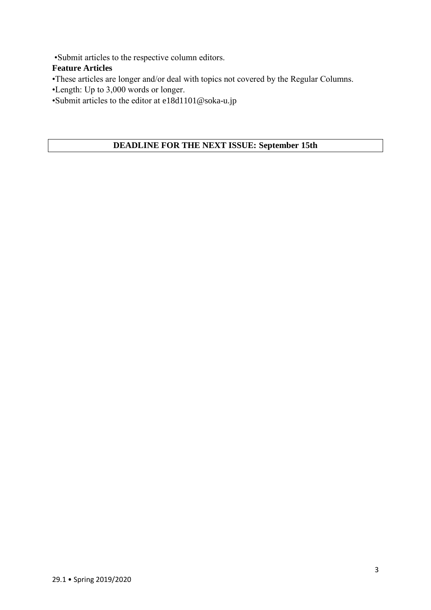•Submit articles to the respective column editors.

## **Feature Articles**

•These articles are longer and/or deal with topics not covered by the Regular Columns.

- •Length: Up to 3,000 words or longer.
- •Submit articles to the editor at e18d1101@soka-u.jp

## **DEADLINE FOR THE NEXT ISSUE: September 15th**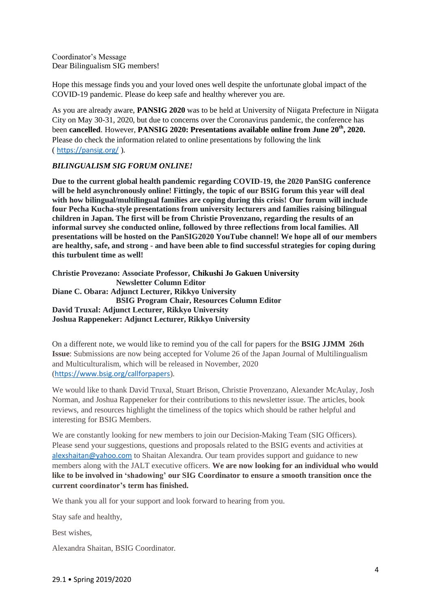<span id="page-3-0"></span>Coordinator's Message Dear Bilingualism SIG members!

Hope this message finds you and your loved ones well despite the unfortunate global impact of the COVID-19 pandemic. Please do keep safe and healthy wherever you are.

As you are already aware, **PANSIG 2020** was to be held at University of Niigata Prefecture in Niigata City on May 30-31, 2020, but due to concerns over the Coronavirus pandemic, the conference has been **cancelled**. However, **PANSIG 2020: Presentations available online from June 20th, 2020.**  Please do check the information related to online presentations by following the link ( <https://pansig.org/> ).

## *BILINGUALISM SIG FORUM ONLINE!*

**Due to the current global health pandemic regarding COVID-19, the 2020 PanSIG conference will be held asynchronously online! Fittingly, the topic of our BSIG forum this year will deal with how bilingual/multilingual families are coping during this crisis! Our forum will include four Pecha Kucha-style presentations from university lecturers and families raising bilingual children in Japan. The first will be from Christie Provenzano, regarding the results of an informal survey she conducted online, followed by three reflections from local families. All presentations will be hosted on the PanSIG2020 YouTube channel! We hope all of our members are healthy, safe, and strong - and have been able to find successful strategies for coping during this turbulent time as well!**

**Christie Provezano: Associate Professor, Chikushi Jo Gakuen University Newsletter Column Editor Diane C. Obara: Adjunct Lecturer, Rikkyo University BSIG Program Chair, Resources Column Editor David Truxal: Adjunct Lecturer, Rikkyo University Joshua Rappeneker: Adjunct Lecturer, Rikkyo University**

On a different note, we would like to remind you of the call for papers for the **BSIG JJMM 26th Issue**: Submissions are now being accepted for Volume 26 of the Japan Journal of Multilingualism and Multiculturalism, which will be released in November, 2020 (<https://www.bsig.org/callforpapers>).

We would like to thank David Truxal, Stuart Brison, Christie Provenzano, Alexander McAulay, Josh Norman, and Joshua Rappeneker for their contributions to this newsletter issue. The articles, book reviews, and resources highlight the timeliness of the topics which should be rather helpful and interesting for BSIG Members.

We are constantly looking for new members to join our Decision-Making Team (SIG Officers). Please send your suggestions, questions and proposals related to the BSIG events and activities at [alexshaitan@yahoo.com](mailto:alexshaitan@yahoo.com) to Shaitan Alexandra. Our team provides support and guidance to new members along with the JALT executive officers. **We are now looking for an individual who would like to be involved in 'shadowing' our SIG Coordinator to ensure a smooth transition once the current coordinator's term has finished.**

We thank you all for your support and look forward to hearing from you.

Stay safe and healthy,

Best wishes,

Alexandra Shaitan, BSIG Coordinator.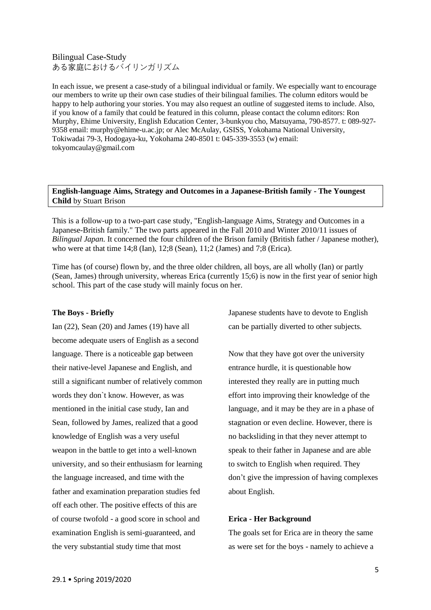## <span id="page-4-0"></span>Bilingual Case-Study ある家庭におけるバイリンガリズム

In each issue, we present a case-study of a bilingual individual or family. We especially want to encourage our members to write up their own case studies of their bilingual families. The column editors would be happy to help authoring your stories. You may also request an outline of suggested items to include. Also, if you know of a family that could be featured in this column, please contact the column editors: Ron Murphy, Ehime University, English Education Center, 3-bunkyou cho, Matsuyama, 790-8577. t: 089-927- 9358 email: murphy@ehime-u.ac.jp; or Alec McAulay, GSISS, Yokohama National University, Tokiwadai 79-3, Hodogaya-ku, Yokohama 240-8501 t: 045-339-3553 (w) email: [tokyomcaulay@gmail.com](mailto:tokyomcaulay@gmail.com)

## <span id="page-4-1"></span>**English-language Aims, Strategy and Outcomes in a Japanese-British family - The Youngest Child** by Stuart Brison

This is a follow-up to a two-part case study, "English-language Aims, Strategy and Outcomes in a Japanese-British family." The two parts appeared in the Fall 2010 and Winter 2010/11 issues of *Bilingual Japan*. It concerned the four children of the Brison family (British father / Japanese mother), who were at that time 14;8 (Ian), 12;8 (Sean), 11;2 (James) and 7;8 (Erica).

Time has (of course) flown by, and the three older children, all boys, are all wholly (Ian) or partly (Sean, James) through university, whereas Erica (currently 15;6) is now in the first year of senior high school. This part of the case study will mainly focus on her.

## **The Boys - Briefly**

Ian (22), Sean (20) and James (19) have all become adequate users of English as a second language. There is a noticeable gap between their native-level Japanese and English, and still a significant number of relatively common words they don`t know. However, as was mentioned in the initial case study, Ian and Sean, followed by James, realized that a good knowledge of English was a very useful weapon in the battle to get into a well-known university, and so their enthusiasm for learning the language increased, and time with the father and examination preparation studies fed off each other. The positive effects of this are of course twofold - a good score in school and examination English is semi-guaranteed, and the very substantial study time that most

Japanese students have to devote to English can be partially diverted to other subjects.

Now that they have got over the university entrance hurdle, it is questionable how interested they really are in putting much effort into improving their knowledge of the language, and it may be they are in a phase of stagnation or even decline. However, there is no backsliding in that they never attempt to speak to their father in Japanese and are able to switch to English when required. They don't give the impression of having complexes about English.

#### **Erica - Her Background**

The goals set for Erica are in theory the same as were set for the boys - namely to achieve a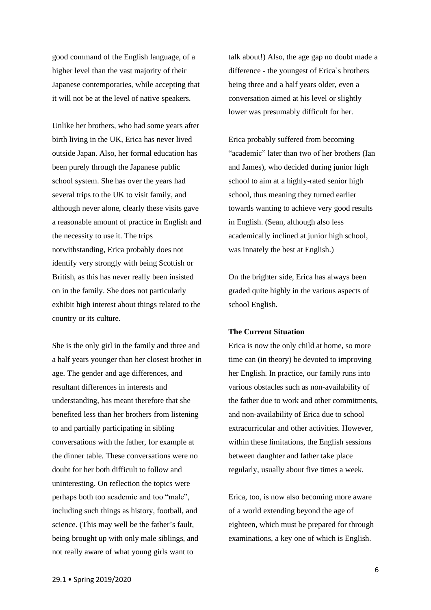good command of the English language, of a higher level than the vast majority of their Japanese contemporaries, while accepting that it will not be at the level of native speakers.

Unlike her brothers, who had some years after birth living in the UK, Erica has never lived outside Japan. Also, her formal education has been purely through the Japanese public school system. She has over the years had several trips to the UK to visit family, and although never alone, clearly these visits gave a reasonable amount of practice in English and the necessity to use it. The trips notwithstanding, Erica probably does not identify very strongly with being Scottish or British, as this has never really been insisted on in the family. She does not particularly exhibit high interest about things related to the country or its culture.

She is the only girl in the family and three and a half years younger than her closest brother in age. The gender and age differences, and resultant differences in interests and understanding, has meant therefore that she benefited less than her brothers from listening to and partially participating in sibling conversations with the father, for example at the dinner table. These conversations were no doubt for her both difficult to follow and uninteresting. On reflection the topics were perhaps both too academic and too "male", including such things as history, football, and science. (This may well be the father's fault, being brought up with only male siblings, and not really aware of what young girls want to

talk about!) Also, the age gap no doubt made a difference - the youngest of Erica`s brothers being three and a half years older, even a conversation aimed at his level or slightly lower was presumably difficult for her.

Erica probably suffered from becoming "academic" later than two of her brothers (Ian and James), who decided during junior high school to aim at a highly-rated senior high school, thus meaning they turned earlier towards wanting to achieve very good results in English. (Sean, although also less academically inclined at junior high school, was innately the best at English.)

On the brighter side, Erica has always been graded quite highly in the various aspects of school English.

## **The Current Situation**

Erica is now the only child at home, so more time can (in theory) be devoted to improving her English. In practice, our family runs into various obstacles such as non-availability of the father due to work and other commitments, and non-availability of Erica due to school extracurricular and other activities. However, within these limitations, the English sessions between daughter and father take place regularly, usually about five times a week.

Erica, too, is now also becoming more aware of a world extending beyond the age of eighteen, which must be prepared for through examinations, a key one of which is English.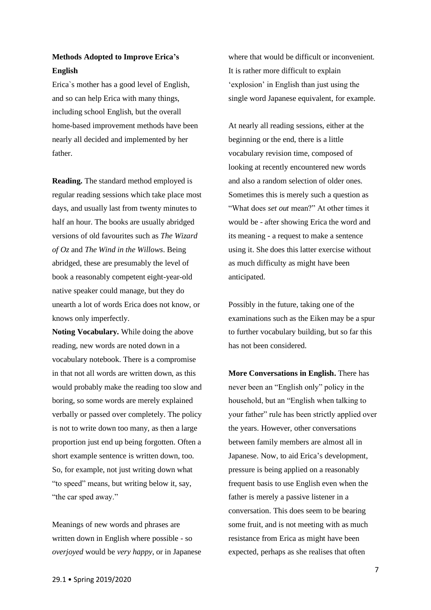## **Methods Adopted to Improve Erica's English**

Erica`s mother has a good level of English, and so can help Erica with many things, including school English, but the overall home-based improvement methods have been nearly all decided and implemented by her father.

**Reading.** The standard method employed is regular reading sessions which take place most days, and usually last from twenty minutes to half an hour. The books are usually abridged versions of old favourites such as *The Wizard of Oz* and *The Wind in the Willows*. Being abridged, these are presumably the level of book a reasonably competent eight-year-old native speaker could manage, but they do unearth a lot of words Erica does not know, or knows only imperfectly.

**Noting Vocabulary.** While doing the above reading, new words are noted down in a vocabulary notebook. There is a compromise in that not all words are written down, as this would probably make the reading too slow and boring, so some words are merely explained verbally or passed over completely. The policy is not to write down too many, as then a large proportion just end up being forgotten. Often a short example sentence is written down, too. So, for example, not just writing down what "to speed" means, but writing below it, say, "the car sped away."

Meanings of new words and phrases are written down in English where possible - so *overjoyed* would be *very happy*, or in Japanese where that would be difficult or inconvenient. It is rather more difficult to explain 'explosion' in English than just using the single word Japanese equivalent, for example.

At nearly all reading sessions, either at the beginning or the end, there is a little vocabulary revision time, composed of looking at recently encountered new words and also a random selection of older ones. Sometimes this is merely such a question as "What does *set out* mean?" At other times it would be - after showing Erica the word and its meaning - a request to make a sentence using it. She does this latter exercise without as much difficulty as might have been anticipated.

Possibly in the future, taking one of the examinations such as the Eiken may be a spur to further vocabulary building, but so far this has not been considered.

**More Conversations in English.** There has never been an "English only" policy in the household, but an "English when talking to your father" rule has been strictly applied over the years. However, other conversations between family members are almost all in Japanese. Now, to aid Erica's development, pressure is being applied on a reasonably frequent basis to use English even when the father is merely a passive listener in a conversation. This does seem to be bearing some fruit, and is not meeting with as much resistance from Erica as might have been expected, perhaps as she realises that often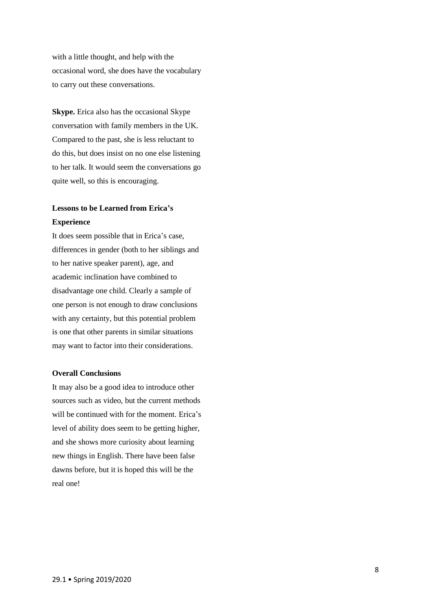with a little thought, and help with the occasional word, she does have the vocabulary to carry out these conversations.

**Skype.** Erica also has the occasional Skype conversation with family members in the UK. Compared to the past, she is less reluctant to do this, but does insist on no one else listening to her talk. It would seem the conversations go quite well, so this is encouraging.

# **Lessons to be Learned from Erica's Experience**

It does seem possible that in Erica's case, differences in gender (both to her siblings and to her native speaker parent), age, and academic inclination have combined to disadvantage one child. Clearly a sample of one person is not enough to draw conclusions with any certainty, but this potential problem is one that other parents in similar situations may want to factor into their considerations.

## **Overall Conclusions**

It may also be a good idea to introduce other sources such as video, but the current methods will be continued with for the moment. Erica's level of ability does seem to be getting higher, and she shows more curiosity about learning new things in English. There have been false dawns before, but it is hoped this will be the real one!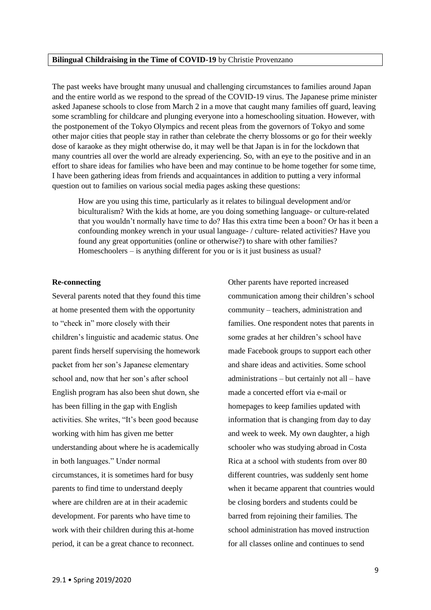## <span id="page-8-0"></span>**Bilingual Childraising in the Time of COVID-19** by Christie Provenzano

The past weeks have brought many unusual and challenging circumstances to families around Japan and the entire world as we respond to the spread of the COVID-19 virus. The Japanese prime minister asked Japanese schools to close from March 2 in a move that caught many families off guard, leaving some scrambling for childcare and plunging everyone into a homeschooling situation. However, with the postponement of the Tokyo Olympics and recent pleas from the governors of Tokyo and some other major cities that people stay in rather than celebrate the cherry blossoms or go for their weekly dose of karaoke as they might otherwise do, it may well be that Japan is in for the lockdown that many countries all over the world are already experiencing. So, with an eye to the positive and in an effort to share ideas for families who have been and may continue to be home together for some time, I have been gathering ideas from friends and acquaintances in addition to putting a very informal question out to families on various social media pages asking these questions:

How are you using this time, particularly as it relates to bilingual development and/or biculturalism? With the kids at home, are you doing something language- or culture-related that you wouldn't normally have time to do? Has this extra time been a boon? Or has it been a confounding monkey wrench in your usual language- / culture- related activities? Have you found any great opportunities (online or otherwise?) to share with other families? Homeschoolers – is anything different for you or is it just business as usual?

## **Re-connecting**

Several parents noted that they found this time at home presented them with the opportunity to "check in" more closely with their children's linguistic and academic status. One parent finds herself supervising the homework packet from her son's Japanese elementary school and, now that her son's after school English program has also been shut down, she has been filling in the gap with English activities. She writes, "It's been good because working with him has given me better understanding about where he is academically in both languages." Under normal circumstances, it is sometimes hard for busy parents to find time to understand deeply where are children are at in their academic development. For parents who have time to work with their children during this at-home period, it can be a great chance to reconnect.

Other parents have reported increased communication among their children's school community – teachers, administration and families. One respondent notes that parents in some grades at her children's school have made Facebook groups to support each other and share ideas and activities. Some school administrations – but certainly not all – have made a concerted effort via e-mail or homepages to keep families updated with information that is changing from day to day and week to week. My own daughter, a high schooler who was studying abroad in Costa Rica at a school with students from over 80 different countries, was suddenly sent home when it became apparent that countries would be closing borders and students could be barred from rejoining their families. The school administration has moved instruction for all classes online and continues to send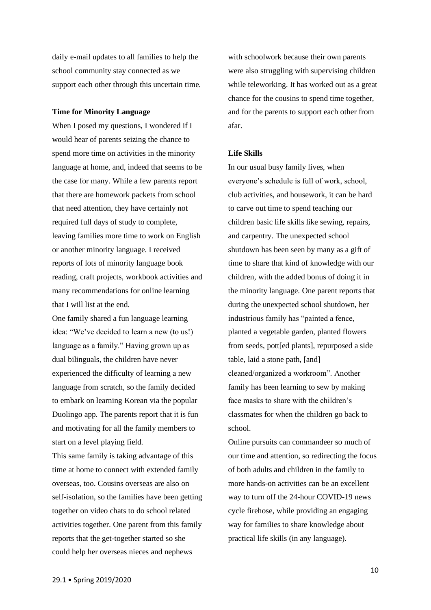daily e-mail updates to all families to help the school community stay connected as we support each other through this uncertain time.

#### **Time for Minority Language**

When I posed my questions, I wondered if I would hear of parents seizing the chance to spend more time on activities in the minority language at home, and, indeed that seems to be the case for many. While a few parents report that there are homework packets from school that need attention, they have certainly not required full days of study to complete, leaving families more time to work on English or another minority language. I received reports of lots of minority language book reading, craft projects, workbook activities and many recommendations for online learning that I will list at the end.

One family shared a fun language learning idea: "We've decided to learn a new (to us!) language as a family." Having grown up as dual bilinguals, the children have never experienced the difficulty of learning a new language from scratch, so the family decided to embark on learning Korean via the popular Duolingo app. The parents report that it is fun and motivating for all the family members to start on a level playing field.

This same family is taking advantage of this time at home to connect with extended family overseas, too. Cousins overseas are also on self-isolation, so the families have been getting together on video chats to do school related activities together. One parent from this family reports that the get-together started so she could help her overseas nieces and nephews

with schoolwork because their own parents were also struggling with supervising children while teleworking. It has worked out as a great chance for the cousins to spend time together, and for the parents to support each other from afar.

#### **Life Skills**

In our usual busy family lives, when everyone's schedule is full of work, school, club activities, and housework, it can be hard to carve out time to spend teaching our children basic life skills like sewing, repairs, and carpentry. The unexpected school shutdown has been seen by many as a gift of time to share that kind of knowledge with our children, with the added bonus of doing it in the minority language. One parent reports that during the unexpected school shutdown, her industrious family has "painted a fence, planted a vegetable garden, planted flowers from seeds, pott[ed plants], repurposed a side table, laid a stone path, [and] cleaned/organized a workroom". Another family has been learning to sew by making face masks to share with the children's classmates for when the children go back to school.

Online pursuits can commandeer so much of our time and attention, so redirecting the focus of both adults and children in the family to more hands-on activities can be an excellent way to turn off the 24-hour COVID-19 news cycle firehose, while providing an engaging way for families to share knowledge about practical life skills (in any language).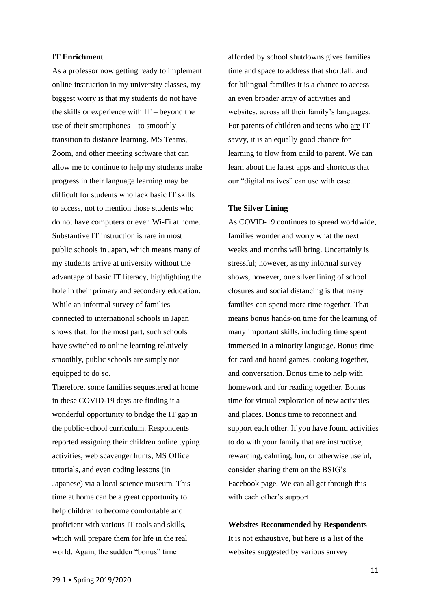#### **IT Enrichment**

As a professor now getting ready to implement online instruction in my university classes, my biggest worry is that my students do not have the skills or experience with IT – beyond the use of their smartphones – to smoothly transition to distance learning. MS Teams, Zoom, and other meeting software that can allow me to continue to help my students make progress in their language learning may be difficult for students who lack basic IT skills to access, not to mention those students who do not have computers or even Wi-Fi at home. Substantive IT instruction is rare in most public schools in Japan, which means many of my students arrive at university without the advantage of basic IT literacy, highlighting the hole in their primary and secondary education. While an informal survey of families connected to international schools in Japan shows that, for the most part, such schools have switched to online learning relatively smoothly, public schools are simply not equipped to do so.

Therefore, some families sequestered at home in these COVID-19 days are finding it a wonderful opportunity to bridge the IT gap in the public-school curriculum. Respondents reported assigning their children online typing activities, web scavenger hunts, MS Office tutorials, and even coding lessons (in Japanese) via a local science museum. This time at home can be a great opportunity to help children to become comfortable and proficient with various IT tools and skills, which will prepare them for life in the real world. Again, the sudden "bonus" time

afforded by school shutdowns gives families time and space to address that shortfall, and for bilingual families it is a chance to access an even broader array of activities and websites, across all their family's languages. For parents of children and teens who are IT savvy, it is an equally good chance for learning to flow from child to parent. We can learn about the latest apps and shortcuts that our "digital natives" can use with ease.

#### **The Silver Lining**

As COVID-19 continues to spread worldwide, families wonder and worry what the next weeks and months will bring. Uncertainly is stressful; however, as my informal survey shows, however, one silver lining of school closures and social distancing is that many families can spend more time together. That means bonus hands-on time for the learning of many important skills, including time spent immersed in a minority language. Bonus time for card and board games, cooking together, and conversation. Bonus time to help with homework and for reading together. Bonus time for virtual exploration of new activities and places. Bonus time to reconnect and support each other. If you have found activities to do with your family that are instructive, rewarding, calming, fun, or otherwise useful, consider sharing them on the BSIG's Facebook page. We can all get through this with each other's support.

**Websites Recommended by Respondents** It is not exhaustive, but here is a list of the websites suggested by various survey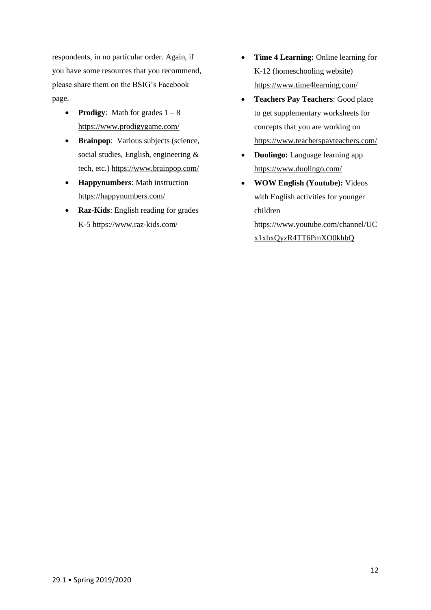respondents, in no particular order. Again, if you have some resources that you recommend, please share them on the BSIG's Facebook page.

- **Prodigy**: Math for grades  $1 8$ <https://www.prodigygame.com/>
- **Brainpop**: Various subjects (science, social studies, English, engineering & tech, etc.)<https://www.brainpop.com/>
- **Happynumbers**: Math instruction <https://happynumbers.com/>
- **Raz-Kids**: English reading for grades K-5<https://www.raz-kids.com/>
- **Time 4 Learning:** Online learning for K-12 (homeschooling website) <https://www.time4learning.com/>
- **Teachers Pay Teachers**: Good place to get supplementary worksheets for concepts that you are working on <https://www.teacherspayteachers.com/>
- **Duolingo:** Language learning app <https://www.duolingo.com/>
- **WOW English (Youtube):** Videos with English activities for younger children [https://www.youtube.com/channel/UC](https://www.youtube.com/channel/UCx1xhxQyzR4TT6PmXO0khbQ) [x1xhxQyzR4TT6PmXO0khbQ](https://www.youtube.com/channel/UCx1xhxQyzR4TT6PmXO0khbQ)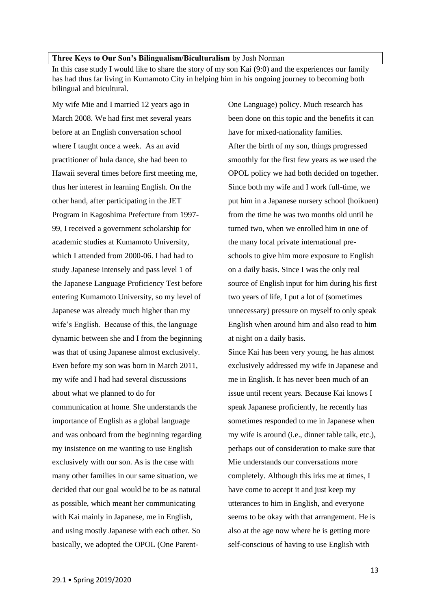### <span id="page-12-0"></span>**Three Keys to Our Son's Bilingualism/Biculturalism** by Josh Norman

In this case study I would like to share the story of my son Kai (9:0) and the experiences our family has had thus far living in Kumamoto City in helping him in his ongoing journey to becoming both bilingual and bicultural.

My wife Mie and I married 12 years ago in March 2008. We had first met several years before at an English conversation school where I taught once a week. As an avid practitioner of hula dance, she had been to Hawaii several times before first meeting me, thus her interest in learning English. On the other hand, after participating in the JET Program in Kagoshima Prefecture from 1997- 99, I received a government scholarship for academic studies at Kumamoto University, which I attended from 2000-06. I had had to study Japanese intensely and pass level 1 of the Japanese Language Proficiency Test before entering Kumamoto University, so my level of Japanese was already much higher than my wife's English. Because of this, the language dynamic between she and I from the beginning was that of using Japanese almost exclusively. Even before my son was born in March 2011, my wife and I had had several discussions about what we planned to do for communication at home. She understands the importance of English as a global language and was onboard from the beginning regarding my insistence on me wanting to use English exclusively with our son. As is the case with many other families in our same situation, we decided that our goal would be to be as natural as possible, which meant her communicating with Kai mainly in Japanese, me in English, and using mostly Japanese with each other. So basically, we adopted the OPOL (One ParentOne Language) policy. Much research has been done on this topic and the benefits it can have for mixed-nationality families. After the birth of my son, things progressed smoothly for the first few years as we used the OPOL policy we had both decided on together. Since both my wife and I work full-time, we put him in a Japanese nursery school (hoikuen) from the time he was two months old until he turned two, when we enrolled him in one of the many local private international preschools to give him more exposure to English on a daily basis. Since I was the only real source of English input for him during his first two years of life, I put a lot of (sometimes unnecessary) pressure on myself to only speak English when around him and also read to him at night on a daily basis.

Since Kai has been very young, he has almost exclusively addressed my wife in Japanese and me in English. It has never been much of an issue until recent years. Because Kai knows I speak Japanese proficiently, he recently has sometimes responded to me in Japanese when my wife is around (i.e., dinner table talk, etc.), perhaps out of consideration to make sure that Mie understands our conversations more completely. Although this irks me at times, I have come to accept it and just keep my utterances to him in English, and everyone seems to be okay with that arrangement. He is also at the age now where he is getting more self-conscious of having to use English with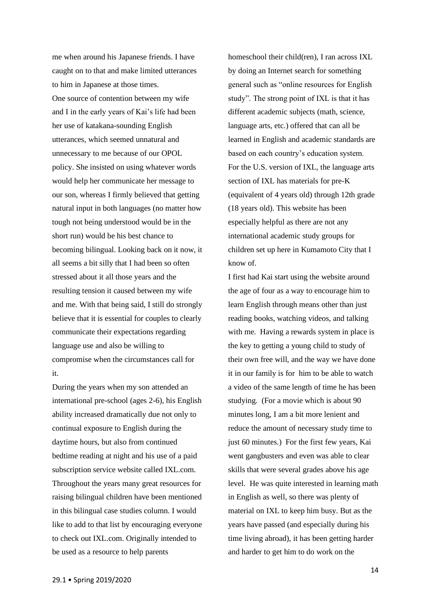me when around his Japanese friends. I have caught on to that and make limited utterances to him in Japanese at those times.

One source of contention between my wife and I in the early years of Kai's life had been her use of katakana-sounding English utterances, which seemed unnatural and unnecessary to me because of our OPOL policy. She insisted on using whatever words would help her communicate her message to our son, whereas I firmly believed that getting natural input in both languages (no matter how tough not being understood would be in the short run) would be his best chance to becoming bilingual. Looking back on it now, it all seems a bit silly that I had been so often stressed about it all those years and the resulting tension it caused between my wife and me. With that being said, I still do strongly believe that it is essential for couples to clearly communicate their expectations regarding language use and also be willing to compromise when the circumstances call for it.

During the years when my son attended an international pre-school (ages 2-6), his English ability increased dramatically due not only to continual exposure to English during the daytime hours, but also from continued bedtime reading at night and his use of a paid subscription service website called IXL.com. Throughout the years many great resources for raising bilingual children have been mentioned in this bilingual case studies column. I would like to add to that list by encouraging everyone to check out IXL.com. Originally intended to be used as a resource to help parents

homeschool their child(ren), I ran across IXL by doing an Internet search for something general such as "online resources for English study". The strong point of IXL is that it has different academic subjects (math, science, language arts, etc.) offered that can all be learned in English and academic standards are based on each country's education system. For the U.S. version of IXL, the language arts section of IXL has materials for pre-K (equivalent of 4 years old) through 12th grade (18 years old). This website has been especially helpful as there are not any international academic study groups for children set up here in Kumamoto City that I know of.

I first had Kai start using the website around the age of four as a way to encourage him to learn English through means other than just reading books, watching videos, and talking with me. Having a rewards system in place is the key to getting a young child to study of their own free will, and the way we have done it in our family is for him to be able to watch a video of the same length of time he has been studying. (For a movie which is about 90 minutes long, I am a bit more lenient and reduce the amount of necessary study time to just 60 minutes.) For the first few years, Kai went gangbusters and even was able to clear skills that were several grades above his age level. He was quite interested in learning math in English as well, so there was plenty of material on IXL to keep him busy. But as the years have passed (and especially during his time living abroad), it has been getting harder and harder to get him to do work on the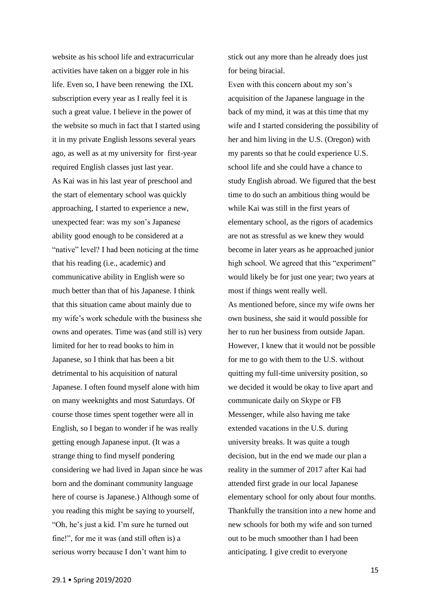website as his school life and extracurricular activities have taken on a bigger role in his life. Even so, I have been renewing the IXL subscription every year as I really feel it is such a great value. I believe in the power of the website so much in fact that I started using it in my private English lessons several years ago, as well as at my university for first-year required English classes just last year. As Kai was in his last year of preschool and the start of elementary school was quickly approaching, I started to experience a new, unexpected fear: was my son's Japanese ability good enough to be considered at a "native" level? I had been noticing at the time that his reading (i.e., academic) and communicative ability in English were so much better than that of his Japanese. I think that this situation came about mainly due to my wife's work schedule with the business she owns and operates. Time was (and still is) very limited for her to read books to him in Japanese, so I think that has been a bit detrimental to his acquisition of natural Japanese. I often found myself alone with him on many weeknights and most Saturdays. Of course those times spent together were all in English, so I began to wonder if he was really getting enough Japanese input. (It was a strange thing to find myself pondering considering we had lived in Japan since he was born and the dominant community language here of course is Japanese.) Although some of you reading this might be saying to yourself, "Oh, he's just a kid. I'm sure he turned out fine!", for me it was (and still often is) a serious worry because I don't want him to

stick out any more than he already does just for being biracial.

Even with this concern about my son's acquisition of the Japanese language in the back of my mind, it was at this time that my wife and I started considering the possibility of her and him living in the U.S. (Oregon) with my parents so that he could experience U.S. school life and she could have a chance to study English abroad. We figured that the best time to do such an ambitious thing would be while Kai was still in the first years of elementary school, as the rigors of academics are not as stressful as we knew they would become in later years as he approached junior high school. We agreed that this "experiment" would likely be for just one year; two years at most if things went really well. As mentioned before, since my wife owns her own business, she said it would possible for her to run her business from outside Japan. However, I knew that it would not be possible for me to go with them to the U.S. without quitting my full-time university position, so we decided it would be okay to live apart and communicate daily on Skype or FB Messenger, while also having me take extended vacations in the U.S. during university breaks. It was quite a tough decision, but in the end we made our plan a reality in the summer of 2017 after Kai had attended first grade in our local Japanese elementary school for only about four months. Thankfully the transition into a new home and new schools for both my wife and son turned out to be much smoother than I had been

anticipating. I give credit to everyone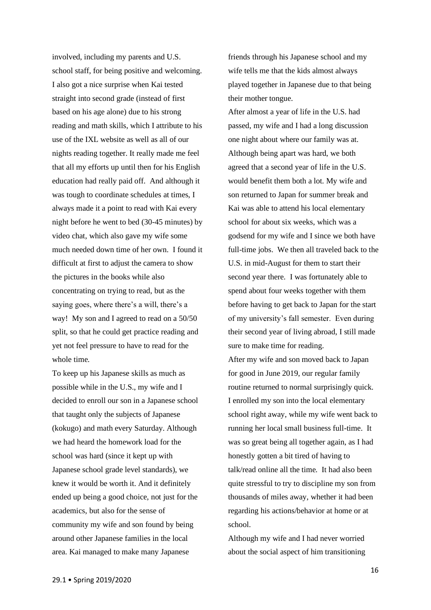involved, including my parents and U.S. school staff, for being positive and welcoming. I also got a nice surprise when Kai tested straight into second grade (instead of first based on his age alone) due to his strong reading and math skills, which I attribute to his use of the IXL website as well as all of our nights reading together. It really made me feel that all my efforts up until then for his English education had really paid off. And although it was tough to coordinate schedules at times, I always made it a point to read with Kai every night before he went to bed (30-45 minutes) by video chat, which also gave my wife some much needed down time of her own. I found it difficult at first to adjust the camera to show the pictures in the books while also concentrating on trying to read, but as the saying goes, where there's a will, there's a way! My son and I agreed to read on a 50/50 split, so that he could get practice reading and yet not feel pressure to have to read for the whole time.

To keep up his Japanese skills as much as possible while in the U.S., my wife and I decided to enroll our son in a Japanese school that taught only the subjects of Japanese (kokugo) and math every Saturday. Although we had heard the homework load for the school was hard (since it kept up with Japanese school grade level standards), we knew it would be worth it. And it definitely ended up being a good choice, not just for the academics, but also for the sense of community my wife and son found by being around other Japanese families in the local area. Kai managed to make many Japanese

friends through his Japanese school and my wife tells me that the kids almost always played together in Japanese due to that being their mother tongue.

After almost a year of life in the U.S. had passed, my wife and I had a long discussion one night about where our family was at. Although being apart was hard, we both agreed that a second year of life in the U.S. would benefit them both a lot. My wife and son returned to Japan for summer break and Kai was able to attend his local elementary school for about six weeks, which was a godsend for my wife and I since we both have full-time jobs. We then all traveled back to the U.S. in mid-August for them to start their second year there. I was fortunately able to spend about four weeks together with them before having to get back to Japan for the start of my university's fall semester. Even during their second year of living abroad, I still made sure to make time for reading.

After my wife and son moved back to Japan for good in June 2019, our regular family routine returned to normal surprisingly quick. I enrolled my son into the local elementary school right away, while my wife went back to running her local small business full-time. It was so great being all together again, as I had honestly gotten a bit tired of having to talk/read online all the time. It had also been quite stressful to try to discipline my son from thousands of miles away, whether it had been regarding his actions/behavior at home or at school.

Although my wife and I had never worried about the social aspect of him transitioning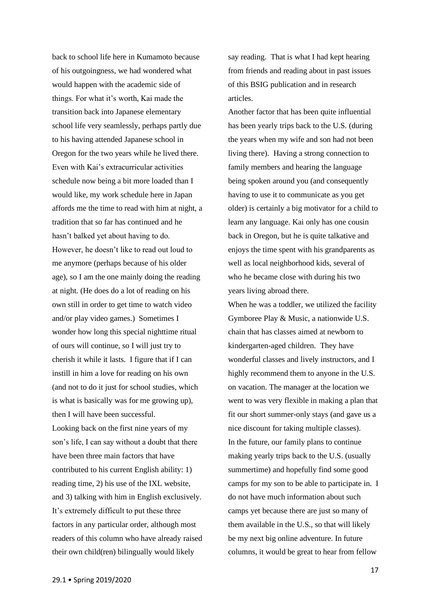back to school life here in Kumamoto because of his outgoingness, we had wondered what would happen with the academic side of things. For what it's worth, Kai made the transition back into Japanese elementary school life very seamlessly, perhaps partly due to his having attended Japanese school in Oregon for the two years while he lived there. Even with Kai's extracurricular activities schedule now being a bit more loaded than I would like, my work schedule here in Japan affords me the time to read with him at night, a tradition that so far has continued and he hasn't balked yet about having to do. However, he doesn't like to read out loud to me anymore (perhaps because of his older age), so I am the one mainly doing the reading at night. (He does do a lot of reading on his own still in order to get time to watch video and/or play video games.) Sometimes I wonder how long this special nighttime ritual of ours will continue, so I will just try to cherish it while it lasts. I figure that if I can instill in him a love for reading on his own (and not to do it just for school studies, which is what is basically was for me growing up), then I will have been successful. Looking back on the first nine years of my son's life, I can say without a doubt that there have been three main factors that have contributed to his current English ability: 1)

reading time, 2) his use of the IXL website, and 3) talking with him in English exclusively. It's extremely difficult to put these three factors in any particular order, although most readers of this column who have already raised their own child(ren) bilingually would likely

say reading. That is what I had kept hearing from friends and reading about in past issues of this BSIG publication and in research articles.

Another factor that has been quite influential has been yearly trips back to the U.S. (during the years when my wife and son had not been living there). Having a strong connection to family members and hearing the language being spoken around you (and consequently having to use it to communicate as you get older) is certainly a big motivator for a child to learn any language. Kai only has one cousin back in Oregon, but he is quite talkative and enjoys the time spent with his grandparents as well as local neighborhood kids, several of who he became close with during his two years living abroad there.

When he was a toddler, we utilized the facility Gymboree Play & Music, a nationwide U.S. chain that has classes aimed at newborn to kindergarten-aged children. They have wonderful classes and lively instructors, and I highly recommend them to anyone in the U.S. on vacation. The manager at the location we went to was very flexible in making a plan that fit our short summer-only stays (and gave us a nice discount for taking multiple classes). In the future, our family plans to continue making yearly trips back to the U.S. (usually summertime) and hopefully find some good camps for my son to be able to participate in. I do not have much information about such camps yet because there are just so many of them available in the U.S., so that will likely be my next big online adventure. In future columns, it would be great to hear from fellow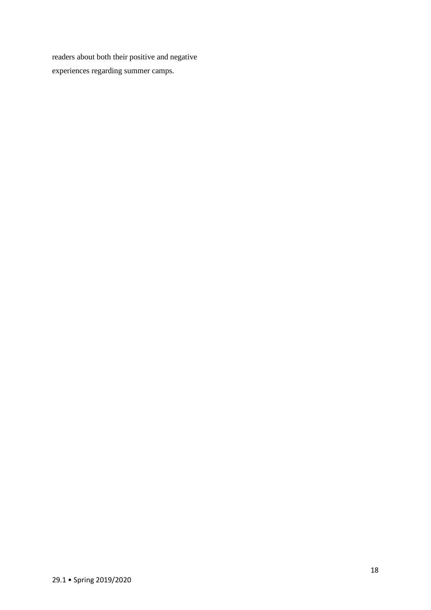readers about both their positive and negative experiences regarding summer camps.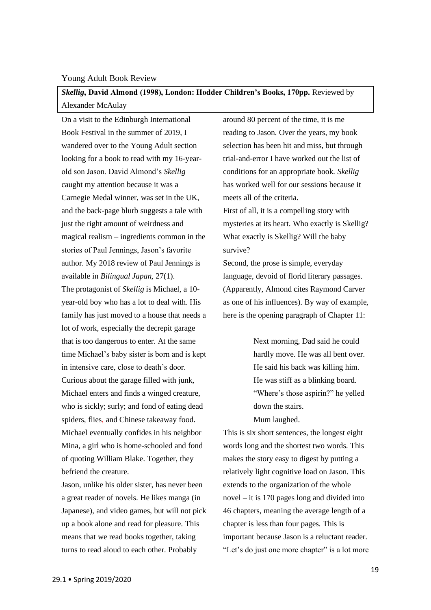## <span id="page-18-0"></span>Young Adult Book Review

<span id="page-18-1"></span>*Skellig***, David Almond (1998), London: Hodder Children's Books, 170pp.** Reviewed by Alexander McAulay

On a visit to the Edinburgh International Book Festival in the summer of 2019, I wandered over to the Young Adult section looking for a book to read with my 16-yearold son Jason. David Almond's *Skellig*  caught my attention because it was a Carnegie Medal winner, was set in the UK, and the back-page blurb suggests a tale with just the right amount of weirdness and magical realism – ingredients common in the stories of Paul Jennings, Jason's favorite author. My 2018 review of Paul Jennings is available in *Bilingual Japan,* 27(1). The protagonist of *Skellig* is Michael, a 10 year-old boy who has a lot to deal with. His family has just moved to a house that needs a lot of work, especially the decrepit garage that is too dangerous to enter. At the same time Michael's baby sister is born and is kept in intensive care, close to death's door. Curious about the garage filled with junk, Michael enters and finds a winged creature, who is sickly; surly; and fond of eating dead spiders, flies, and Chinese takeaway food. Michael eventually confides in his neighbor Mina, a girl who is home-schooled and fond of quoting William Blake. Together, they befriend the creature.

Jason, unlike his older sister, has never been a great reader of novels. He likes manga (in Japanese), and video games, but will not pick up a book alone and read for pleasure. This means that we read books together, taking turns to read aloud to each other. Probably

around 80 percent of the time, it is me reading to Jason. Over the years, my book selection has been hit and miss, but through trial-and-error I have worked out the list of conditions for an appropriate book. *Skellig*  has worked well for our sessions because it meets all of the criteria. First of all, it is a compelling story with mysteries at its heart. Who exactly is Skellig? What exactly is Skellig? Will the baby survive?

Second, the prose is simple, everyday language, devoid of florid literary passages. (Apparently, Almond cites Raymond Carver as one of his influences). By way of example, here is the opening paragraph of Chapter 11:

> Next morning, Dad said he could hardly move. He was all bent over. He said his back was killing him. He was stiff as a blinking board. "Where's those aspirin?" he yelled down the stairs. Mum laughed.

This is six short sentences, the longest eight words long and the shortest two words. This makes the story easy to digest by putting a relatively light cognitive load on Jason. This extends to the organization of the whole novel – it is 170 pages long and divided into 46 chapters, meaning the average length of a chapter is less than four pages. This is important because Jason is a reluctant reader. "Let's do just one more chapter" is a lot more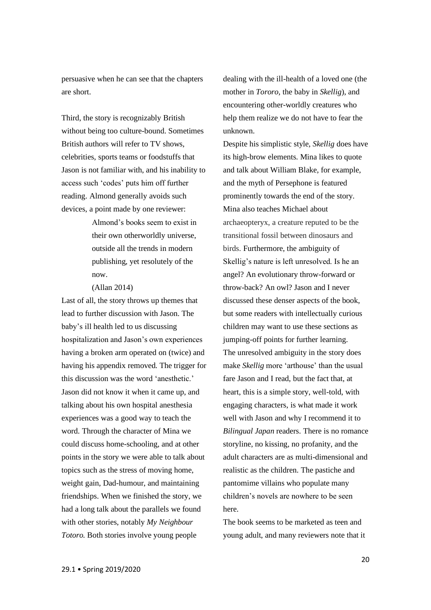persuasive when he can see that the chapters are short.

Third, the story is recognizably British without being too culture-bound. Sometimes British authors will refer to TV shows, celebrities, sports teams or foodstuffs that Jason is not familiar with, and his inability to access such 'codes' puts him off further reading. Almond generally avoids such devices, a point made by one reviewer:

> Almond's books seem to exist in their own otherworldly universe, outside all the trends in modern publishing, yet resolutely of the now.

(Allan 2014)

Last of all, the story throws up themes that lead to further discussion with Jason. The baby's ill health led to us discussing hospitalization and Jason's own experiences having a broken arm operated on (twice) and having his appendix removed. The trigger for this discussion was the word 'anesthetic.' Jason did not know it when it came up, and talking about his own hospital anesthesia experiences was a good way to teach the word. Through the character of Mina we could discuss home-schooling, and at other points in the story we were able to talk about topics such as the stress of moving home, weight gain, Dad-humour, and maintaining friendships. When we finished the story, we had a long talk about the parallels we found with other stories, notably *My Neighbour Totoro.* Both stories involve young people

dealing with the ill-health of a loved one (the mother in *Tororo,* the baby in *Skellig*), and encountering other-worldly creatures who help them realize we do not have to fear the unknown.

Despite his simplistic style, *Skellig* does have its high-brow elements. Mina likes to quote and talk about William Blake, for example, and the myth of Persephone is featured prominently towards the end of the story. Mina also teaches Michael about archaeopteryx, a creature reputed to be the transitional fossil between dinosaurs and birds. Furthermore, the ambiguity of Skellig's nature is left unresolved. Is he an angel? An evolutionary throw-forward or throw-back? An owl? Jason and I never discussed these denser aspects of the book, but some readers with intellectually curious children may want to use these sections as jumping-off points for further learning. The unresolved ambiguity in the story does make *Skellig* more 'arthouse' than the usual fare Jason and I read, but the fact that, at heart, this is a simple story, well-told, with engaging characters, is what made it work well with Jason and why I recommend it to *Bilingual Japan* readers. There is no romance storyline, no kissing, no profanity, and the adult characters are as multi-dimensional and realistic as the children. The pastiche and pantomime villains who populate many children's novels are nowhere to be seen here.

The book seems to be marketed as teen and young adult, and many reviewers note that it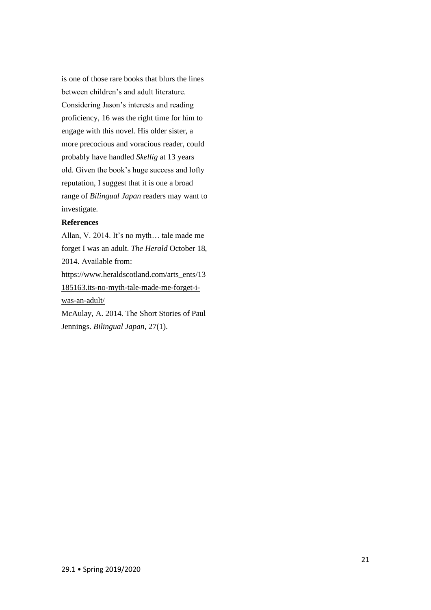is one of those rare books that blurs the lines between children's and adult literature. Considering Jason's interests and reading proficiency, 16 was the right time for him to engage with this novel. His older sister, a more precocious and voracious reader, could probably have handled *Skellig* at 13 years old. Given the book's huge success and lofty reputation, I suggest that it is one a broad range of *Bilingual Japan* readers may want to investigate.

## **References**

Allan, V. 2014. It's no myth… tale made me forget I was an adult. *The Herald* October 18, 2014. Available from: [https://www.heraldscotland.com/arts\\_ents/13](https://www.heraldscotland.com/arts_ents/13185163.its-no-myth-tale-made-me-forget-i-was-an-adult/) [185163.its-no-myth-tale-made-me-forget-i](https://www.heraldscotland.com/arts_ents/13185163.its-no-myth-tale-made-me-forget-i-was-an-adult/)[was-an-adult/](https://www.heraldscotland.com/arts_ents/13185163.its-no-myth-tale-made-me-forget-i-was-an-adult/) McAulay, A. 2014. The Short Stories of Paul Jennings. *Bilingual Japan,* 27(1).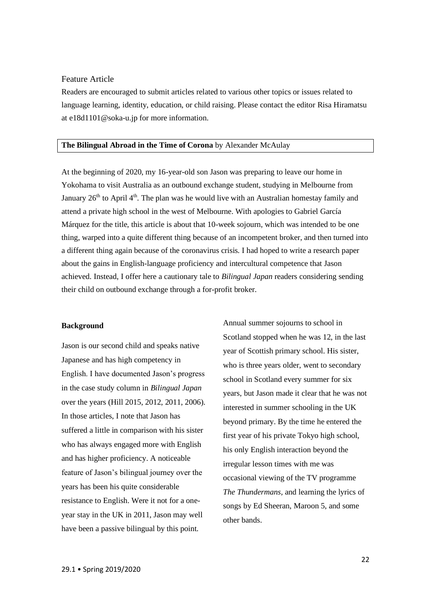## <span id="page-21-0"></span>Feature Article

Readers are encouraged to submit articles related to various other topics or issues related to language learning, identity, education, or child raising. Please contact the editor Risa Hiramatsu at [e18d1101@soka-u.jp](mailto:e18d1101@soka-u.jp) for more information.

## <span id="page-21-1"></span>**The Bilingual Abroad in the Time of Corona** by Alexander McAulay

At the beginning of 2020, my 16-year-old son Jason was preparing to leave our home in Yokohama to visit Australia as an outbound exchange student, studying in Melbourne from January  $26<sup>th</sup>$  to April 4<sup>th</sup>. The plan was he would live with an Australian homestay family and attend a private high school in the west of Melbourne. With apologies to Gabriel García Márquez for the title, this article is about that 10-week sojourn, which was intended to be one thing, warped into a quite different thing because of an incompetent broker, and then turned into a different thing again because of the coronavirus crisis. I had hoped to write a research paper about the gains in English-language proficiency and intercultural competence that Jason achieved. Instead, I offer here a cautionary tale to *Bilingual Japan* readers considering sending their child on outbound exchange through a for-profit broker.

## **Background**

Jason is our second child and speaks native Japanese and has high competency in English. I have documented Jason's progress in the case study column in *Bilingual Japan* over the years (Hill 2015, 2012, 2011, 2006). In those articles, I note that Jason has suffered a little in comparison with his sister who has always engaged more with English and has higher proficiency. A noticeable feature of Jason's bilingual journey over the years has been his quite considerable resistance to English. Were it not for a oneyear stay in the UK in 2011, Jason may well have been a passive bilingual by this point.

Annual summer sojourns to school in Scotland stopped when he was 12, in the last year of Scottish primary school. His sister, who is three years older, went to secondary school in Scotland every summer for six years, but Jason made it clear that he was not interested in summer schooling in the UK beyond primary. By the time he entered the first year of his private Tokyo high school, his only English interaction beyond the irregular lesson times with me was occasional viewing of the TV programme *The Thundermans,* and learning the lyrics of songs by Ed Sheeran, Maroon 5, and some other bands.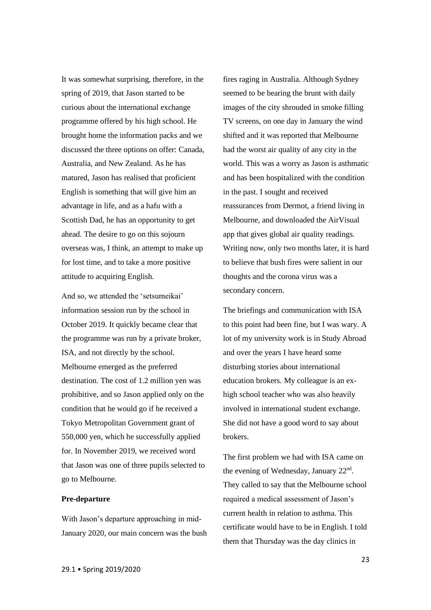It was somewhat surprising, therefore, in the spring of 2019, that Jason started to be curious about the international exchange programme offered by his high school. He brought home the information packs and we discussed the three options on offer: Canada, Australia, and New Zealand. As he has matured, Jason has realised that proficient English is something that will give him an advantage in life, and as a hafu with a Scottish Dad, he has an opportunity to get ahead. The desire to go on this sojourn overseas was, I think, an attempt to make up for lost time, and to take a more positive attitude to acquiring English.

And so, we attended the 'setsumeikai' information session run by the school in October 2019. It quickly became clear that the programme was run by a private broker, ISA, and not directly by the school. Melbourne emerged as the preferred destination. The cost of 1.2 million yen was prohibitive, and so Jason applied only on the condition that he would go if he received a Tokyo Metropolitan Government grant of 550,000 yen, which he successfully applied for. In November 2019, we received word that Jason was one of three pupils selected to go to Melbourne.

## **Pre-departure**

With Jason's departure approaching in mid-January 2020, our main concern was the bush fires raging in Australia. Although Sydney seemed to be bearing the brunt with daily images of the city shrouded in smoke filling TV screens, on one day in January the wind shifted and it was reported that Melbourne had the worst air quality of any city in the world. This was a worry as Jason is asthmatic and has been hospitalized with the condition in the past. I sought and received reassurances from Dermot, a friend living in Melbourne, and downloaded the AirVisual app that gives global air quality readings. Writing now, only two months later, it is hard to believe that bush fires were salient in our thoughts and the corona virus was a secondary concern.

The briefings and communication with ISA to this point had been fine, but I was wary. A lot of my university work is in Study Abroad and over the years I have heard some disturbing stories about international education brokers. My colleague is an exhigh school teacher who was also heavily involved in international student exchange. She did not have a good word to say about brokers.

The first problem we had with ISA came on the evening of Wednesday, January 22<sup>nd</sup>. They called to say that the Melbourne school required a medical assessment of Jason's current health in relation to asthma. This certificate would have to be in English. I told them that Thursday was the day clinics in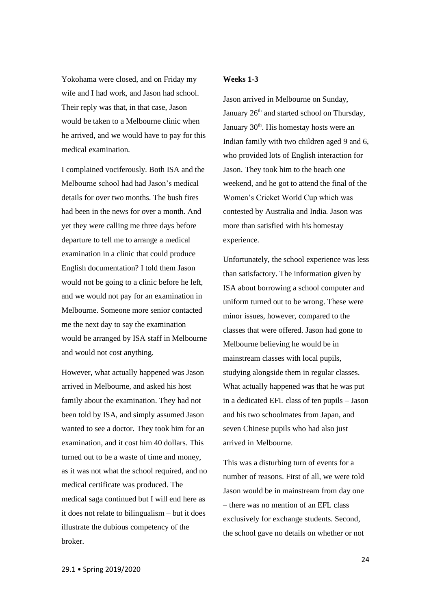Yokohama were closed, and on Friday my wife and I had work, and Jason had school. Their reply was that, in that case, Jason would be taken to a Melbourne clinic when he arrived, and we would have to pay for this medical examination.

I complained vociferously. Both ISA and the Melbourne school had had Jason's medical details for over two months. The bush fires had been in the news for over a month. And yet they were calling me three days before departure to tell me to arrange a medical examination in a clinic that could produce English documentation? I told them Jason would not be going to a clinic before he left, and we would not pay for an examination in Melbourne. Someone more senior contacted me the next day to say the examination would be arranged by ISA staff in Melbourne and would not cost anything.

However, what actually happened was Jason arrived in Melbourne, and asked his host family about the examination. They had not been told by ISA, and simply assumed Jason wanted to see a doctor. They took him for an examination, and it cost him 40 dollars. This turned out to be a waste of time and money, as it was not what the school required, and no medical certificate was produced. The medical saga continued but I will end here as it does not relate to bilingualism – but it does illustrate the dubious competency of the broker.

## **Weeks 1-3**

Jason arrived in Melbourne on Sunday, January  $26<sup>th</sup>$  and started school on Thursday, January  $30<sup>th</sup>$ . His homestay hosts were an Indian family with two children aged 9 and 6, who provided lots of English interaction for Jason. They took him to the beach one weekend, and he got to attend the final of the Women's Cricket World Cup which was contested by Australia and India. Jason was more than satisfied with his homestay experience.

Unfortunately, the school experience was less than satisfactory. The information given by ISA about borrowing a school computer and uniform turned out to be wrong. These were minor issues, however, compared to the classes that were offered. Jason had gone to Melbourne believing he would be in mainstream classes with local pupils, studying alongside them in regular classes. What actually happened was that he was put in a dedicated EFL class of ten pupils – Jason and his two schoolmates from Japan, and seven Chinese pupils who had also just arrived in Melbourne.

This was a disturbing turn of events for a number of reasons. First of all, we were told Jason would be in mainstream from day one – there was no mention of an EFL class exclusively for exchange students. Second, the school gave no details on whether or not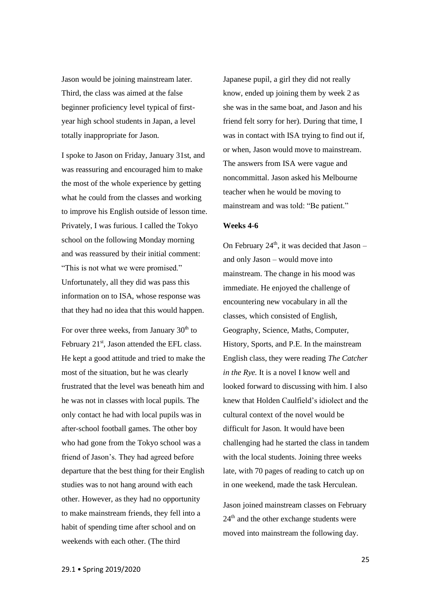Jason would be joining mainstream later. Third, the class was aimed at the false beginner proficiency level typical of firstyear high school students in Japan, a level totally inappropriate for Jason.

I spoke to Jason on Friday, January 31st, and was reassuring and encouraged him to make the most of the whole experience by getting what he could from the classes and working to improve his English outside of lesson time. Privately, I was furious. I called the Tokyo school on the following Monday morning and was reassured by their initial comment: "This is not what we were promised." Unfortunately, all they did was pass this information on to ISA, whose response was that they had no idea that this would happen.

For over three weeks, from January  $30<sup>th</sup>$  to February  $21<sup>st</sup>$ , Jason attended the EFL class. He kept a good attitude and tried to make the most of the situation, but he was clearly frustrated that the level was beneath him and he was not in classes with local pupils. The only contact he had with local pupils was in after-school football games. The other boy who had gone from the Tokyo school was a friend of Jason's. They had agreed before departure that the best thing for their English studies was to not hang around with each other. However, as they had no opportunity to make mainstream friends, they fell into a habit of spending time after school and on weekends with each other. (The third

Japanese pupil, a girl they did not really know, ended up joining them by week 2 as she was in the same boat, and Jason and his friend felt sorry for her). During that time, I was in contact with ISA trying to find out if, or when, Jason would move to mainstream. The answers from ISA were vague and noncommittal. Jason asked his Melbourne teacher when he would be moving to mainstream and was told: "Be patient."

### **Weeks 4-6**

On February  $24<sup>th</sup>$ , it was decided that Jason – and only Jason – would move into mainstream. The change in his mood was immediate. He enjoyed the challenge of encountering new vocabulary in all the classes, which consisted of English, Geography, Science, Maths, Computer, History, Sports, and P.E. In the mainstream English class, they were reading *The Catcher in the Rye.* It is a novel I know well and looked forward to discussing with him. I also knew that Holden Caulfield's idiolect and the cultural context of the novel would be difficult for Jason. It would have been challenging had he started the class in tandem with the local students. Joining three weeks late, with 70 pages of reading to catch up on in one weekend, made the task Herculean.

Jason joined mainstream classes on February  $24<sup>th</sup>$  and the other exchange students were moved into mainstream the following day.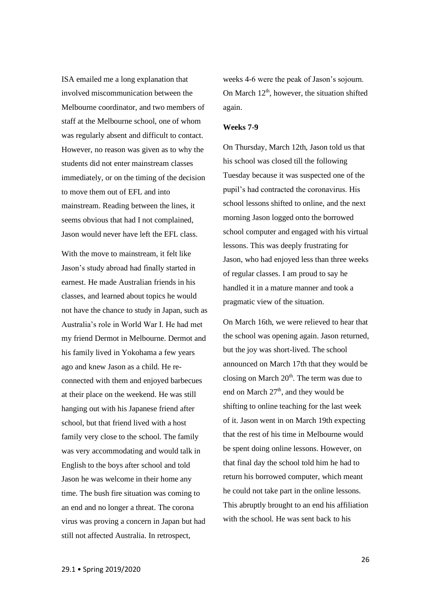ISA emailed me a long explanation that involved miscommunication between the Melbourne coordinator, and two members of staff at the Melbourne school, one of whom was regularly absent and difficult to contact. However, no reason was given as to why the students did not enter mainstream classes immediately, or on the timing of the decision to move them out of EFL and into mainstream. Reading between the lines, it seems obvious that had I not complained, Jason would never have left the EFL class.

With the move to mainstream, it felt like Jason's study abroad had finally started in earnest. He made Australian friends in his classes, and learned about topics he would not have the chance to study in Japan, such as Australia's role in World War I. He had met my friend Dermot in Melbourne. Dermot and his family lived in Yokohama a few years ago and knew Jason as a child. He reconnected with them and enjoyed barbecues at their place on the weekend. He was still hanging out with his Japanese friend after school, but that friend lived with a host family very close to the school. The family was very accommodating and would talk in English to the boys after school and told Jason he was welcome in their home any time. The bush fire situation was coming to an end and no longer a threat. The corona virus was proving a concern in Japan but had still not affected Australia. In retrospect,

weeks 4-6 were the peak of Jason's sojourn. On March  $12<sup>th</sup>$ , however, the situation shifted again.

#### **Weeks 7-9**

On Thursday, March 12th, Jason told us that his school was closed till the following Tuesday because it was suspected one of the pupil's had contracted the coronavirus. His school lessons shifted to online, and the next morning Jason logged onto the borrowed school computer and engaged with his virtual lessons. This was deeply frustrating for Jason, who had enjoyed less than three weeks of regular classes. I am proud to say he handled it in a mature manner and took a pragmatic view of the situation.

On March 16th, we were relieved to hear that the school was opening again. Jason returned, but the joy was short-lived. The school announced on March 17th that they would be closing on March  $20<sup>th</sup>$ . The term was due to end on March  $27<sup>th</sup>$ , and they would be shifting to online teaching for the last week of it. Jason went in on March 19th expecting that the rest of his time in Melbourne would be spent doing online lessons. However, on that final day the school told him he had to return his borrowed computer, which meant he could not take part in the online lessons. This abruptly brought to an end his affiliation with the school. He was sent back to his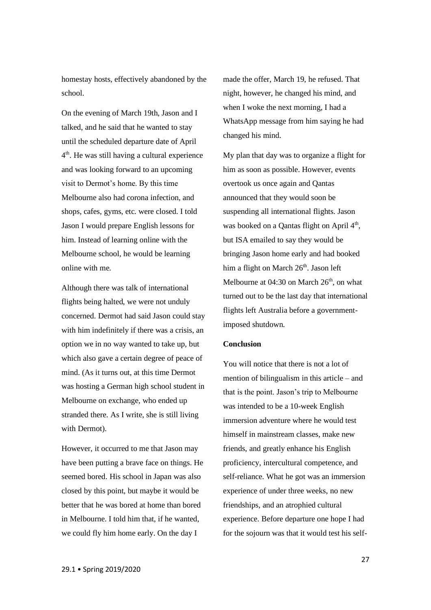homestay hosts, effectively abandoned by the school.

On the evening of March 19th, Jason and I talked, and he said that he wanted to stay until the scheduled departure date of April 4 th. He was still having a cultural experience and was looking forward to an upcoming visit to Dermot's home. By this time Melbourne also had corona infection, and shops, cafes, gyms, etc. were closed. I told Jason I would prepare English lessons for him. Instead of learning online with the Melbourne school, he would be learning online with me.

Although there was talk of international flights being halted, we were not unduly concerned. Dermot had said Jason could stay with him indefinitely if there was a crisis, an option we in no way wanted to take up, but which also gave a certain degree of peace of mind. (As it turns out, at this time Dermot was hosting a German high school student in Melbourne on exchange, who ended up stranded there. As I write, she is still living with Dermot).

However, it occurred to me that Jason may have been putting a brave face on things. He seemed bored. His school in Japan was also closed by this point, but maybe it would be better that he was bored at home than bored in Melbourne. I told him that, if he wanted, we could fly him home early. On the day I

made the offer, March 19, he refused. That night, however, he changed his mind, and when I woke the next morning, I had a WhatsApp message from him saying he had changed his mind.

My plan that day was to organize a flight for him as soon as possible. However, events overtook us once again and Qantas announced that they would soon be suspending all international flights. Jason was booked on a Qantas flight on April  $4<sup>th</sup>$ , but ISA emailed to say they would be bringing Jason home early and had booked him a flight on March 26<sup>th</sup>. Jason left Melbourne at  $04:30$  on March  $26<sup>th</sup>$ , on what turned out to be the last day that international flights left Australia before a governmentimposed shutdown.

### **Conclusion**

You will notice that there is not a lot of mention of bilingualism in this article – and that is the point. Jason's trip to Melbourne was intended to be a 10-week English immersion adventure where he would test himself in mainstream classes, make new friends, and greatly enhance his English proficiency, intercultural competence, and self-reliance. What he got was an immersion experience of under three weeks, no new friendships, and an atrophied cultural experience. Before departure one hope I had for the sojourn was that it would test his self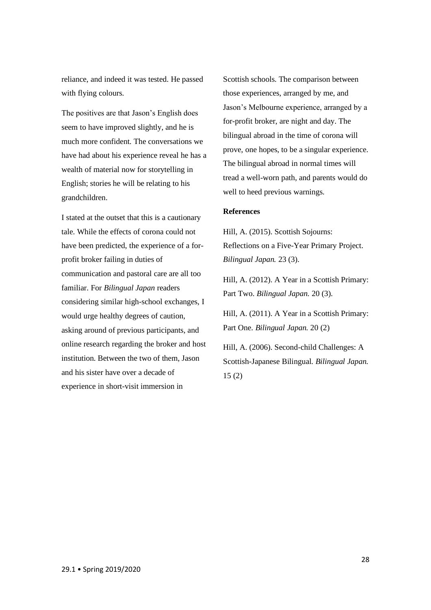reliance, and indeed it was tested. He passed with flying colours.

The positives are that Jason's English does seem to have improved slightly, and he is much more confident. The conversations we have had about his experience reveal he has a wealth of material now for storytelling in English; stories he will be relating to his grandchildren.

I stated at the outset that this is a cautionary tale. While the effects of corona could not have been predicted, the experience of a forprofit broker failing in duties of communication and pastoral care are all too familiar. For *Bilingual Japan* readers considering similar high-school exchanges, I would urge healthy degrees of caution, asking around of previous participants, and online research regarding the broker and host institution. Between the two of them, Jason and his sister have over a decade of experience in short-visit immersion in

Scottish schools. The comparison between those experiences, arranged by me, and Jason's Melbourne experience, arranged by a for-profit broker, are night and day. The bilingual abroad in the time of corona will prove, one hopes, to be a singular experience. The bilingual abroad in normal times will tread a well-worn path, and parents would do well to heed previous warnings.

## **References**

Hill, A. (2015). Scottish Sojourns: Reflections on a Five-Year Primary Project. *Bilingual Japan.* 23 (3).

Hill, A. (2012). A Year in a Scottish Primary: Part Two. *Bilingual Japan.* 20 (3).

Hill, A. (2011). A Year in a Scottish Primary: Part One. *Bilingual Japan.* 20 (2)

Hill, A. (2006). Second-child Challenges: A Scottish-Japanese Bilingual. *Bilingual Japan.*  15 (2)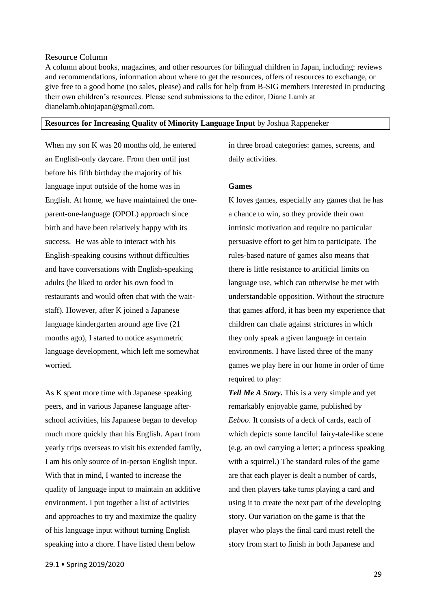## <span id="page-28-0"></span>Resource Column

A column about books, magazines, and other resources for bilingual children in Japan, including: reviews and recommendations, information about where to get the resources, offers of resources to exchange, or give free to a good home (no sales, please) and calls for help from B-SIG members interested in producing their own children's resources. Please send submissions to the editor, Diane Lamb at dianelamb.ohiojapan@gmail.com.

## <span id="page-28-1"></span>**Resources for Increasing Quality of Minority Language Input** by Joshua Rappeneker

When my son K was 20 months old, he entered an English-only daycare. From then until just before his fifth birthday the majority of his language input outside of the home was in English. At home, we have maintained the oneparent-one-language (OPOL) approach since birth and have been relatively happy with its success. He was able to interact with his English-speaking cousins without difficulties and have conversations with English-speaking adults (he liked to order his own food in restaurants and would often chat with the waitstaff). However, after K joined a Japanese language kindergarten around age five (21 months ago), I started to notice asymmetric language development, which left me somewhat worried.

As K spent more time with Japanese speaking peers, and in various Japanese language afterschool activities, his Japanese began to develop much more quickly than his English. Apart from yearly trips overseas to visit his extended family, I am his only source of in-person English input. With that in mind, I wanted to increase the quality of language input to maintain an additive environment. I put together a list of activities and approaches to try and maximize the quality of his language input without turning English speaking into a chore. I have listed them below

in three broad categories: games, screens, and daily activities.

## **Games**

K loves games, especially any games that he has a chance to win, so they provide their own intrinsic motivation and require no particular persuasive effort to get him to participate. The rules-based nature of games also means that there is little resistance to artificial limits on language use, which can otherwise be met with understandable opposition. Without the structure that games afford, it has been my experience that children can chafe against strictures in which they only speak a given language in certain environments. I have listed three of the many games we play here in our home in order of time required to play:

*Tell Me A Story.* This is a very simple and yet remarkably enjoyable game, published by *Eeboo*. It consists of a deck of cards, each of which depicts some fanciful fairy-tale-like scene (e.g. an owl carrying a letter; a princess speaking with a squirrel.) The standard rules of the game are that each player is dealt a number of cards, and then players take turns playing a card and using it to create the next part of the developing story. Our variation on the game is that the player who plays the final card must retell the story from start to finish in both Japanese and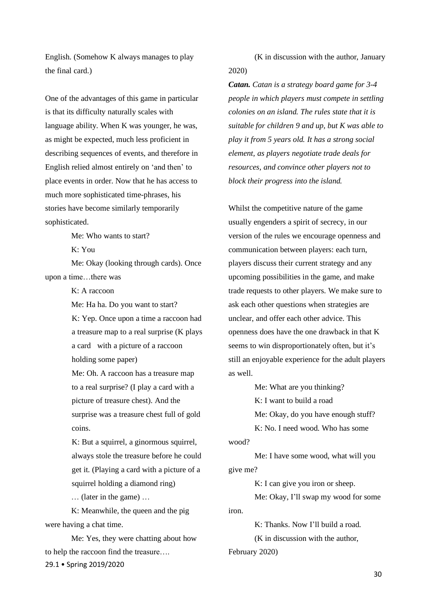English. (Somehow K always manages to play the final card.)

One of the advantages of this game in particular is that its difficulty naturally scales with language ability. When K was younger, he was, as might be expected, much less proficient in describing sequences of events, and therefore in English relied almost entirely on 'and then' to place events in order. Now that he has access to much more sophisticated time-phrases, his stories have become similarly temporarily sophisticated.

Me: Who wants to start?

K: You

Me: Okay (looking through cards). Once upon a time…there was

 $K^{\dagger}$  A raccoon

Me: Ha ha. Do you want to start?

K: Yep. Once upon a time a raccoon had a treasure map to a real surprise (K plays a card with a picture of a raccoon holding some paper)

Me: Oh. A raccoon has a treasure map to a real surprise? (I play a card with a picture of treasure chest). And the surprise was a treasure chest full of gold coins.

K: But a squirrel, a ginormous squirrel, always stole the treasure before he could get it. (Playing a card with a picture of a squirrel holding a diamond ring)

… (later in the game) …

K: Meanwhile, the queen and the pig were having a chat time.

29.1 • Spring 2019/2020 Me: Yes, they were chatting about how to help the raccoon find the treasure….

(K in discussion with the author, January 2020)

*Catan. Catan is a strategy board game for 3-4 people in which players must compete in settling colonies on an island. The rules state that it is suitable for children 9 and up, but K was able to play it from 5 years old. It has a strong social element, as players negotiate trade deals for resources, and convince other players not to block their progress into the island.*

Whilst the competitive nature of the game usually engenders a spirit of secrecy, in our version of the rules we encourage openness and communication between players: each turn, players discuss their current strategy and any upcoming possibilities in the game, and make trade requests to other players. We make sure to ask each other questions when strategies are unclear, and offer each other advice. This openness does have the one drawback in that K seems to win disproportionately often, but it's still an enjoyable experience for the adult players as well.

Me: What are you thinking?

K: I want to build a road

Me: Okay, do you have enough stuff?

K: No. I need wood. Who has some

wood?

Me: I have some wood, what will you give me?

K: I can give you iron or sheep.

Me: Okay, I'll swap my wood for some iron.

K: Thanks. Now I'll build a road.

(K in discussion with the author,

February 2020)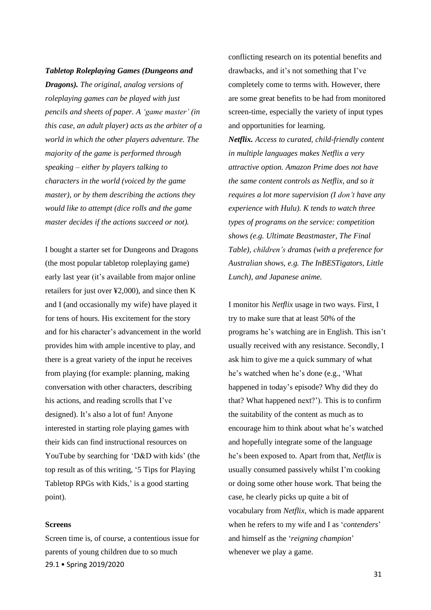#### *Tabletop Roleplaying Games (Dungeons and*

*Dragons). The original, analog versions of roleplaying games can be played with just pencils and sheets of paper. A 'game master' (in this case, an adult player) acts as the arbiter of a world in which the other players adventure. The majority of the game is performed through speaking – either by players talking to characters in the world (voiced by the game master), or by them describing the actions they would like to attempt (dice rolls and the game master decides if the actions succeed or not).*

I bought a starter set for Dungeons and Dragons (the most popular tabletop roleplaying game) early last year (it's available from major online retailers for just over ¥2,000), and since then K and I (and occasionally my wife) have played it for tens of hours. His excitement for the story and for his character's advancement in the world provides him with ample incentive to play, and there is a great variety of the input he receives from playing (for example: planning, making conversation with other characters, describing his actions, and reading scrolls that I've designed). It's also a lot of fun! Anyone interested in starting role playing games with their kids can find instructional resources on YouTube by searching for 'D&D with kids' (the top result as of this writing, '5 Tips for [Playing](https://www.youtube.com/watch?v=A-dQtYKQyms) [Tabletop](https://www.youtube.com/watch?v=A-dQtYKQyms) RPGs with Kids,' is a good starting point).

#### **Screens**

29.1 • Spring 2019/2020 Screen time is, of course, a contentious issue for parents of young children due to so much

conflicting research on its potential benefits and drawbacks, and it's not something that I've completely come to terms with. However, there are some great benefits to be had from monitored screen-time, especially the variety of input types and opportunities for learning. *Netflix. Access to curated, child-friendly content in multiple languages makes Netflix a very attractive option. Amazon Prime does not have the same content controls as Netflix, and so it requires a lot more supervision (I don't have any experience with Hulu). K tends to watch three types of programs on the service: competition shows (e.g. Ultimate Beastmaster, The Final Table), children's dramas (with a preference for Australian shows, e.g. The InBESTigators, Little Lunch), and Japanese anime.*

I monitor his *Netflix* usage in two ways. First, I try to make sure that at least 50% of the programs he's watching are in English. This isn't usually received with any resistance. Secondly, I ask him to give me a quick summary of what he's watched when he's done (e.g., 'What happened in today's episode? Why did they do that? What happened next?'). This is to confirm the suitability of the content as much as to encourage him to think about what he's watched and hopefully integrate some of the language he's been exposed to. Apart from that, *Netflix* is usually consumed passively whilst I'm cooking or doing some other house work. That being the case, he clearly picks up quite a bit of vocabulary from *Netflix*, which is made apparent when he refers to my wife and I as '*contenders*' and himself as the '*reigning champion*' whenever we play a game.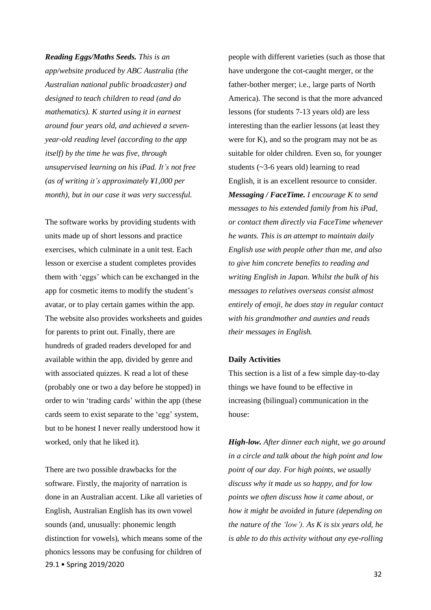*Reading Eggs/Maths Seeds. This is an app/website produced by ABC Australia (the Australian national public broadcaster) and designed to teach children to read (and do mathematics). K started using it in earnest around four years old, and achieved a sevenyear-old reading level (according to the app itself) by the time he was five, through unsupervised learning on his iPad. It's not free (as of writing it's approximately ¥1,000 per month), but in our case it was very successful.*

The software works by providing students with units made up of short lessons and practice exercises, which culminate in a unit test. Each lesson or exercise a student completes provides them with 'eggs' which can be exchanged in the app for cosmetic items to modify the student's avatar, or to play certain games within the app. The website also provides worksheets and guides for parents to print out. Finally, there are hundreds of graded readers developed for and available within the app, divided by genre and with associated quizzes. K read a lot of these (probably one or two a day before he stopped) in order to win 'trading cards' within the app (these cards seem to exist separate to the 'egg' system, but to be honest I never really understood how it worked, only that he liked it).

29.1 • Spring 2019/2020 There are two possible drawbacks for the software. Firstly, the majority of narration is done in an Australian accent. Like all varieties of English, Australian English has its own vowel sounds (and, unusually: phonemic length distinction for vowels), which means some of the phonics lessons may be confusing for children of people with different varieties (such as those that have undergone the cot-caught merger, or the father-bother merger; i.e., large parts of North America). The second is that the more advanced lessons (for students 7-13 years old) are less interesting than the earlier lessons (at least they were for K), and so the program may not be as suitable for older children. Even so, for younger students (~3-6 years old) learning to read English, it is an excellent resource to consider. *Messaging / FaceTime. I encourage K to send messages to his extended family from his iPad, or contact them directly via FaceTime whenever he wants. This is an attempt to maintain daily English use with people other than me, and also to give him concrete benefits to reading and writing English in Japan. Whilst the bulk of his messages to relatives overseas consist almost entirely of emoji, he does stay in regular contact with his grandmother and aunties and reads their messages in English.*

## **Daily Activities**

This section is a list of a few simple day-to-day things we have found to be effective in increasing (bilingual) communication in the house:

*High-low. After dinner each night, we go around in a circle and talk about the high point and low point of our day. For high points, we usually discuss why it made us so happy, and for low points we often discuss how it came about, or how it might be avoided in future (depending on the nature of the 'low'). As K is six years old, he is able to do this activity without any eye-rolling*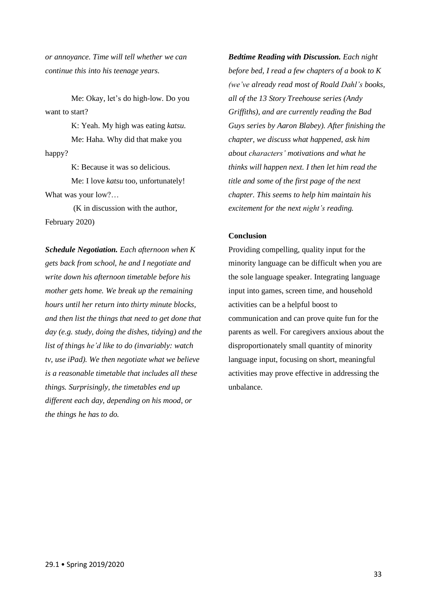*or annoyance. Time will tell whether we can continue this into his teenage years.*

Me: Okay, let's do high-low. Do you want to start?

K: Yeah. My high was eating *katsu*. Me: Haha. Why did that make you happy?

K: Because it was so delicious. Me: I love *katsu* too, unfortunately! What was your low?…

(K in discussion with the author, February 2020)

*Schedule Negotiation. Each afternoon when K gets back from school, he and I negotiate and write down his afternoon timetable before his mother gets home. We break up the remaining hours until her return into thirty minute blocks, and then list the things that need to get done that day (e.g. study, doing the dishes, tidying) and the list of things he'd like to do (invariably: watch tv, use iPad). We then negotiate what we believe is a reasonable timetable that includes all these things. Surprisingly, the timetables end up different each day, depending on his mood, or the things he has to do.*

*Bedtime Reading with Discussion. Each night before bed, I read a few chapters of a book to K (we've already read most of Roald Dahl's books, all of the 13 Story Treehouse series (Andy Griffiths), and are currently reading the Bad Guys series by Aaron Blabey). After finishing the chapter, we discuss what happened, ask him about characters' motivations and what he thinks will happen next. I then let him read the title and some of the first page of the next chapter. This seems to help him maintain his excitement for the next night's reading.*

## **Conclusion**

Providing compelling, quality input for the minority language can be difficult when you are the sole language speaker. Integrating language input into games, screen time, and household activities can be a helpful boost to communication and can prove quite fun for the parents as well. For caregivers anxious about the disproportionately small quantity of minority language input, focusing on short, meaningful activities may prove effective in addressing the unbalance.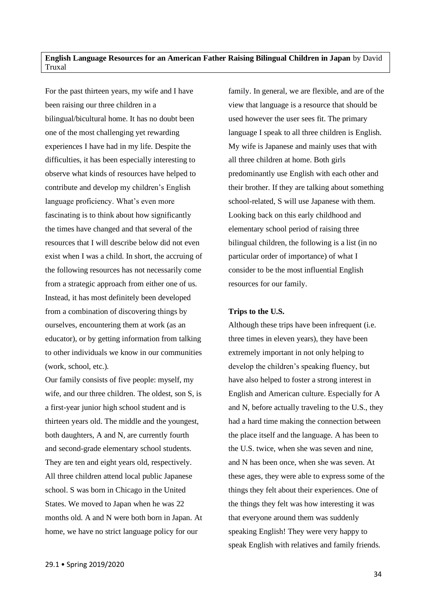<span id="page-33-0"></span>**English Language Resources for an American Father Raising Bilingual Children in Japan** by David Truxal

For the past thirteen years, my wife and I have been raising our three children in a bilingual/bicultural home. It has no doubt been one of the most challenging yet rewarding experiences I have had in my life. Despite the difficulties, it has been especially interesting to observe what kinds of resources have helped to contribute and develop my children's English language proficiency. What's even more fascinating is to think about how significantly the times have changed and that several of the resources that I will describe below did not even exist when I was a child. In short, the accruing of the following resources has not necessarily come from a strategic approach from either one of us. Instead, it has most definitely been developed from a combination of discovering things by ourselves, encountering them at work (as an educator), or by getting information from talking to other individuals we know in our communities (work, school, etc.).

Our family consists of five people: myself, my wife, and our three children. The oldest, son S, is a first-year junior high school student and is thirteen years old. The middle and the youngest, both daughters, A and N, are currently fourth and second-grade elementary school students. They are ten and eight years old, respectively. All three children attend local public Japanese school. S was born in Chicago in the United States. We moved to Japan when he was 22 months old. A and N were both born in Japan. At home, we have no strict language policy for our

family. In general, we are flexible, and are of the view that language is a resource that should be used however the user sees fit. The primary language I speak to all three children is English. My wife is Japanese and mainly uses that with all three children at home. Both girls predominantly use English with each other and their brother. If they are talking about something school-related, S will use Japanese with them. Looking back on this early childhood and elementary school period of raising three bilingual children, the following is a list (in no particular order of importance) of what I consider to be the most influential English resources for our family.

#### **Trips to the U.S.**

Although these trips have been infrequent (i.e. three times in eleven years), they have been extremely important in not only helping to develop the children's speaking fluency, but have also helped to foster a strong interest in English and American culture. Especially for A and N, before actually traveling to the U.S., they had a hard time making the connection between the place itself and the language. A has been to the U.S. twice, when she was seven and nine, and N has been once, when she was seven. At these ages, they were able to express some of the things they felt about their experiences. One of the things they felt was how interesting it was that everyone around them was suddenly speaking English! They were very happy to speak English with relatives and family friends.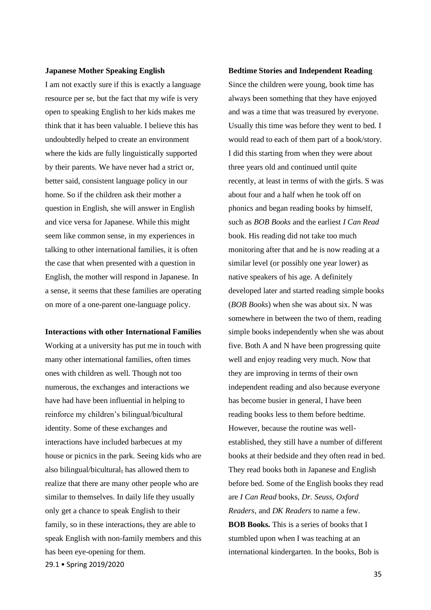#### **Japanese Mother Speaking English**

I am not exactly sure if this is exactly a language resource per se, but the fact that my wife is very open to speaking English to her kids makes me think that it has been valuable. I believe this has undoubtedly helped to create an environment where the kids are fully linguistically supported by their parents. We have never had a strict or, better said, consistent language policy in our home. So if the children ask their mother a question in English, she will answer in English and vice versa for Japanese. While this might seem like common sense, in my experiences in talking to other international families, it is often the case that when presented with a question in English, the mother will respond in Japanese. In a sense, it seems that these families are operating on more of a one-parent one-language policy.

#### **Interactions with other International Families**

29.1 • Spring 2019/2020 Working at a university has put me in touch with many other international families, often times ones with children as well. Though not too numerous, the exchanges and interactions we have had have been influential in helping to reinforce my children's bilingual/bicultural identity. Some of these exchanges and interactions have included barbecues at my house or picnics in the park. Seeing kids who are also bilingual/bicultural, has allowed them to realize that there are many other people who are similar to themselves. In daily life they usually only get a chance to speak English to their family, so in these interactions, they are able to speak English with non-family members and this has been eye-opening for them.

#### **Bedtime Stories and Independent Reading**

Since the children were young, book time has always been something that they have enjoyed and was a time that was treasured by everyone. Usually this time was before they went to bed. I would read to each of them part of a book/story. I did this starting from when they were about three years old and continued until quite recently, at least in terms of with the girls. S was about four and a half when he took off on phonics and began reading books by himself, such as *BOB Books* and the earliest *I Can Read* book. His reading did not take too much monitoring after that and he is now reading at a similar level (or possibly one year lower) as native speakers of his age. A definitely developed later and started reading simple books (*BOB Books*) when she was about six. N was somewhere in between the two of them, reading simple books independently when she was about five. Both A and N have been progressing quite well and enjoy reading very much. Now that they are improving in terms of their own independent reading and also because everyone has become busier in general, I have been reading books less to them before bedtime. However, because the routine was wellestablished, they still have a number of different books at their bedside and they often read in bed. They read books both in Japanese and English before bed. Some of the English books they read are *I Can Read* books, *Dr. Seuss*, *Oxford Readers*, and *DK Readers* to name a few. **BOB Books.** This is a series of books that I stumbled upon when I was teaching at an international kindergarten. In the books, Bob is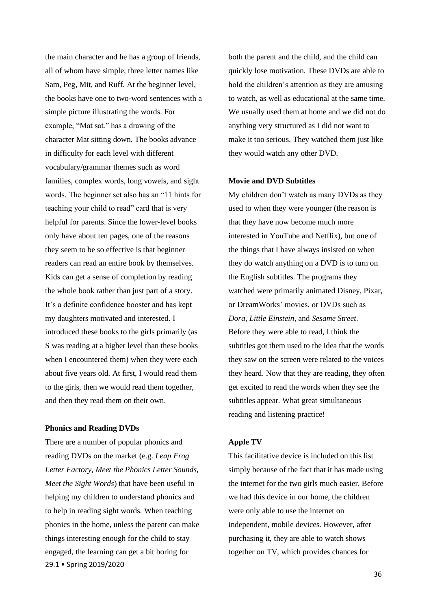the main character and he has a group of friends, all of whom have simple, three letter names like Sam, Peg, Mit, and Ruff. At the beginner level, the books have one to two-word sentences with a simple picture illustrating the words. For example, "Mat sat." has a drawing of the character Mat sitting down. The books advance in difficulty for each level with different vocabulary/grammar themes such as word families, complex words, long vowels, and sight words. The beginner set also has an "11 hints for teaching your child to read" card that is very helpful for parents. Since the lower-level books only have about ten pages, one of the reasons they seem to be so effective is that beginner readers can read an entire book by themselves. Kids can get a sense of completion by reading the whole book rather than just part of a story. It's a definite confidence booster and has kept my daughters motivated and interested. I introduced these books to the girls primarily (as S was reading at a higher level than these books when I encountered them) when they were each about five years old. At first, I would read them to the girls, then we would read them together, and then they read them on their own.

## **Phonics and Reading DVDs**

29.1 • Spring 2019/2020 There are a number of popular phonics and reading DVDs on the market (e.g. *Leap Frog Letter Factory, Meet the Phonics Letter Sounds, Meet the Sight Words*) that have been useful in helping my children to understand phonics and to help in reading sight words. When teaching phonics in the home, unless the parent can make things interesting enough for the child to stay engaged, the learning can get a bit boring for

both the parent and the child, and the child can quickly lose motivation. These DVDs are able to hold the children's attention as they are amusing to watch, as well as educational at the same time. We usually used them at home and we did not do anything very structured as I did not want to make it too serious. They watched them just like they would watch any other DVD.

## **Movie and DVD Subtitles**

My children don't watch as many DVDs as they used to when they were younger (the reason is that they have now become much more interested in YouTube and Netflix), but one of the things that I have always insisted on when they do watch anything on a DVD is to turn on the English subtitles. The programs they watched were primarily animated Disney, Pixar, or DreamWorks' movies, or DVDs such as *Dora*, *Little Einstein*, and *Sesame Street*. Before they were able to read, I think the subtitles got them used to the idea that the words they saw on the screen were related to the voices they heard. Now that they are reading, they often get excited to read the words when they see the subtitles appear. What great simultaneous reading and listening practice!

### **Apple TV**

This facilitative device is included on this list simply because of the fact that it has made using the internet for the two girls much easier. Before we had this device in our home, the children were only able to use the internet on independent, mobile devices. However, after purchasing it, they are able to watch shows together on TV, which provides chances for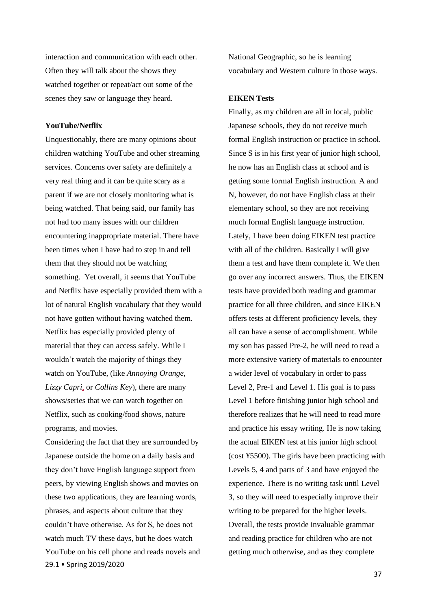interaction and communication with each other. Often they will talk about the shows they watched together or repeat/act out some of the scenes they saw or language they heard.

## **YouTube/Netflix**

Unquestionably, there are many opinions about children watching YouTube and other streaming services. Concerns over safety are definitely a very real thing and it can be quite scary as a parent if we are not closely monitoring what is being watched. That being said, our family has not had too many issues with our children encountering inappropriate material. There have been times when I have had to step in and tell them that they should not be watching something. Yet overall, it seems that YouTube and Netflix have especially provided them with a lot of natural English vocabulary that they would not have gotten without having watched them. Netflix has especially provided plenty of material that they can access safely. While I wouldn't watch the majority of things they watch on YouTube, (like *Annoying Orange*, *Lizzy Capri*, or *Collins Key*), there are many shows/series that we can watch together on Netflix, such as cooking/food shows, nature programs, and movies.

29.1 • Spring 2019/2020 Considering the fact that they are surrounded by Japanese outside the home on a daily basis and they don't have English language support from peers, by viewing English shows and movies on these two applications, they are learning words, phrases, and aspects about culture that they couldn't have otherwise. As for S, he does not watch much TV these days, but he does watch YouTube on his cell phone and reads novels and National Geographic, so he is learning vocabulary and Western culture in those ways.

## **EIKEN Tests**

Finally, as my children are all in local, public Japanese schools, they do not receive much formal English instruction or practice in school. Since S is in his first year of junior high school, he now has an English class at school and is getting some formal English instruction. A and N, however, do not have English class at their elementary school, so they are not receiving much formal English language instruction. Lately, I have been doing EIKEN test practice with all of the children. Basically I will give them a test and have them complete it. We then go over any incorrect answers. Thus, the EIKEN tests have provided both reading and grammar practice for all three children, and since EIKEN offers tests at different proficiency levels, they all can have a sense of accomplishment. While my son has passed Pre-2, he will need to read a more extensive variety of materials to encounter a wider level of vocabulary in order to pass Level 2, Pre-1 and Level 1. His goal is to pass Level 1 before finishing junior high school and therefore realizes that he will need to read more and practice his essay writing. He is now taking the actual EIKEN test at his junior high school (cost ¥5500). The girls have been practicing with Levels 5, 4 and parts of 3 and have enjoyed the experience. There is no writing task until Level 3, so they will need to especially improve their writing to be prepared for the higher levels. Overall, the tests provide invaluable grammar and reading practice for children who are not getting much otherwise, and as they complete